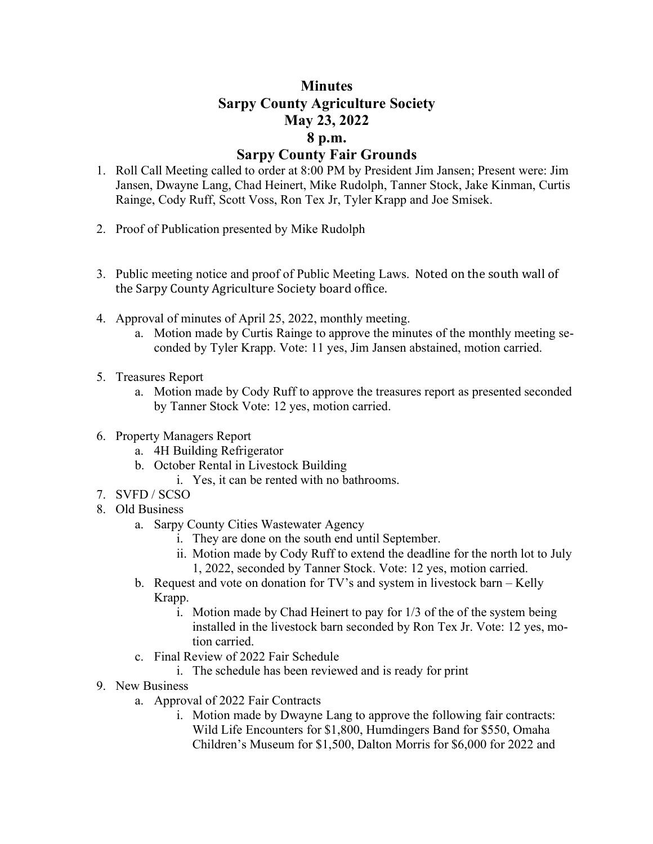## **Minutes Sarpy County Agriculture Society May 23, 2022 8 p.m. Sarpy County Fair Grounds**

- 1. Roll Call Meeting called to order at 8:00 PM by President Jim Jansen; Present were: Jim Jansen, Dwayne Lang, Chad Heinert, Mike Rudolph, Tanner Stock, Jake Kinman, Curtis Rainge, Cody Ruff, Scott Voss, Ron Tex Jr, Tyler Krapp and Joe Smisek.
- 2. Proof of Publication presented by Mike Rudolph
- 3. Public meeting notice and proof of Public Meeting Laws. Noted on the south wall of the Sarpy County Agriculture Society board office.
- 4. Approval of minutes of April 25, 2022, monthly meeting.
	- a. Motion made by Curtis Rainge to approve the minutes of the monthly meeting seconded by Tyler Krapp. Vote: 11 yes, Jim Jansen abstained, motion carried.
- 5. Treasures Report
	- a. Motion made by Cody Ruff to approve the treasures report as presented seconded by Tanner Stock Vote: 12 yes, motion carried.
- 6. Property Managers Report
	- a. 4H Building Refrigerator
	- b. October Rental in Livestock Building
		- i. Yes, it can be rented with no bathrooms.
- 7. SVFD / SCSO
- 8. Old Business
	- a. Sarpy County Cities Wastewater Agency
		- i. They are done on the south end until September.
		- ii. Motion made by Cody Ruff to extend the deadline for the north lot to July 1, 2022, seconded by Tanner Stock. Vote: 12 yes, motion carried.
	- b. Request and vote on donation for TV's and system in livestock barn Kelly Krapp.
		- i. Motion made by Chad Heinert to pay for 1/3 of the of the system being installed in the livestock barn seconded by Ron Tex Jr. Vote: 12 yes, motion carried.
	- c. Final Review of 2022 Fair Schedule
		- i. The schedule has been reviewed and is ready for print
- 9. New Business
	- a. Approval of 2022 Fair Contracts
		- i. Motion made by Dwayne Lang to approve the following fair contracts: Wild Life Encounters for \$1,800, Humdingers Band for \$550, Omaha Children's Museum for \$1,500, Dalton Morris for \$6,000 for 2022 and